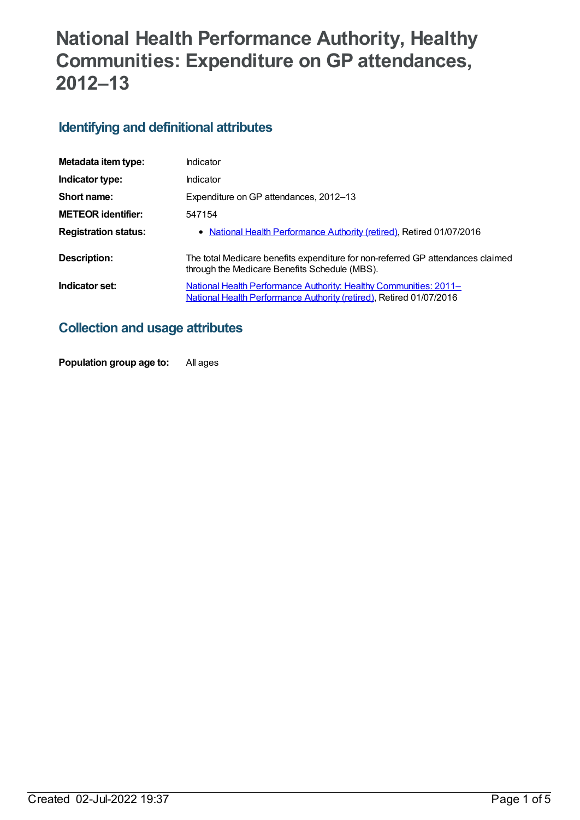# **National Health Performance Authority, Healthy Communities: Expenditure on GP attendances, 2012–13**

#### **Identifying and definitional attributes**

| Metadata item type:         | Indicator                                                                                                                                |
|-----------------------------|------------------------------------------------------------------------------------------------------------------------------------------|
| Indicator type:             | Indicator                                                                                                                                |
| Short name:                 | Expenditure on GP attendances, 2012-13                                                                                                   |
| <b>METEOR identifier:</b>   | 547154                                                                                                                                   |
| <b>Registration status:</b> | • National Health Performance Authority (retired), Retired 01/07/2016                                                                    |
| Description:                | The total Medicare benefits expenditure for non-referred GP attendances claimed<br>through the Medicare Benefits Schedule (MBS).         |
| Indicator set:              | National Health Performance Authority: Healthy Communities: 2011-<br>National Health Performance Authority (retired), Retired 01/07/2016 |

#### **Collection and usage attributes**

**Population group age to:** All ages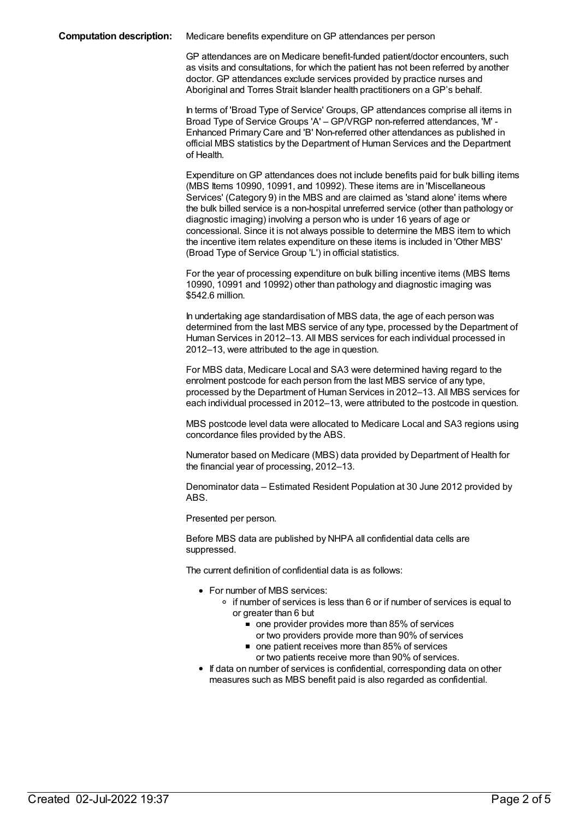GP attendances are on Medicare benefit-funded patient/doctor encounters, such as visits and consultations, for which the patient has not been referred by another doctor. GP attendances exclude services provided by practice nurses and Aboriginal and Torres Strait Islander health practitioners on a GP's behalf.

In terms of 'Broad Type of Service' Groups, GP attendances comprise all items in Broad Type of Service Groups 'A' – GP/VRGP non-referred attendances, 'M' - Enhanced Primary Care and 'B' Non-referred other attendances as published in official MBS statistics by the Department of Human Services and the Department of Health.

Expenditure onGP attendances does not include benefits paid for bulk billing items (MBS Items 10990, 10991, and 10992). These items are in 'Miscellaneous Services' (Category 9) in the MBS and are claimed as 'stand alone' items where the bulk billed service is a non-hospital unreferred service (other than pathology or diagnostic imaging) involving a person who is under 16 years of age or concessional. Since it is not always possible to determine the MBS item to which the incentive item relates expenditure on these items is included in 'Other MBS' (Broad Type of Service Group 'L') in official statistics.

For the year of processing expenditure on bulk billing incentive items (MBS Items 10990, 10991 and 10992) other than pathology and diagnostic imaging was \$542.6 million.

In undertaking age standardisation of MBS data, the age of each person was determined from the last MBS service of any type, processed by the Department of Human Services in 2012–13. All MBS services for each individual processed in 2012–13, were attributed to the age in question.

For MBS data, Medicare Local and SA3 were determined having regard to the enrolment postcode for each person from the last MBS service of any type, processed by the Department of Human Services in 2012–13. All MBS services for each individual processed in 2012–13, were attributed to the postcode in question.

MBS postcode level data were allocated to Medicare Local and SA3 regions using concordance files provided by the ABS.

Numerator based on Medicare (MBS) data provided by Department of Health for the financial year of processing, 2012–13.

Denominator data – Estimated Resident Population at 30 June 2012 provided by ABS.

Presented per person.

Before MBS data are published by NHPA all confidential data cells are suppressed.

The current definition of confidential data is as follows:

- For number of MBS services:
	- o if number of services is less than 6 or if number of services is equal to or greater than 6 but
		- one provider provides more than 85% of services
			- or two providers provide more than 90% of services
		- one patient receives more than 85% of services or two patients receive more than 90% of services.
- If data on number of services is confidential, corresponding data on other measures such as MBS benefit paid is also regarded as confidential.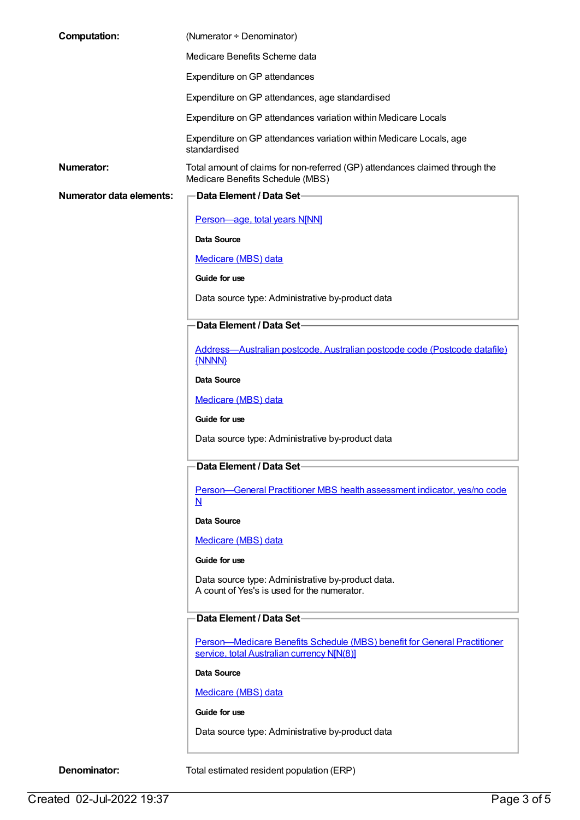| <b>Computation:</b>             | (Numerator + Denominator)                                                                                              |
|---------------------------------|------------------------------------------------------------------------------------------------------------------------|
|                                 | Medicare Benefits Scheme data                                                                                          |
|                                 | Expenditure on GP attendances                                                                                          |
|                                 | Expenditure on GP attendances, age standardised                                                                        |
|                                 | Expenditure on GP attendances variation within Medicare Locals                                                         |
|                                 | Expenditure on GP attendances variation within Medicare Locals, age<br>standardised                                    |
| <b>Numerator:</b>               | Total amount of claims for non-referred (GP) attendances claimed through the<br>Medicare Benefits Schedule (MBS)       |
| <b>Numerator data elements:</b> | Data Element / Data Set-                                                                                               |
|                                 | Person-age, total years N[NN]                                                                                          |
|                                 | Data Source                                                                                                            |
|                                 | Medicare (MBS) data                                                                                                    |
|                                 | Guide for use                                                                                                          |
|                                 | Data source type: Administrative by-product data                                                                       |
|                                 | Data Element / Data Set-                                                                                               |
|                                 | Address-Australian postcode, Australian postcode code (Postcode datafile)                                              |
|                                 | {NNNN}                                                                                                                 |
|                                 | Data Source                                                                                                            |
|                                 | Medicare (MBS) data                                                                                                    |
|                                 | Guide for use                                                                                                          |
|                                 | Data source type: Administrative by-product data                                                                       |
|                                 | -Data Element / Data Set-                                                                                              |
|                                 | Person-General Practitioner MBS health assessment indicator, yes/no code<br>$\underline{\mathsf{N}}$                   |
|                                 | Data Source                                                                                                            |
|                                 | Medicare (MBS) data                                                                                                    |
|                                 | Guide for use                                                                                                          |
|                                 | Data source type: Administrative by-product data.<br>A count of Yes's is used for the numerator.                       |
|                                 | Data Element / Data Set-                                                                                               |
|                                 | Person-Medicare Benefits Schedule (MBS) benefit for General Practitioner<br>service, total Australian currency N[N(8)] |
|                                 | Data Source                                                                                                            |
|                                 | Medicare (MBS) data                                                                                                    |
|                                 | Guide for use                                                                                                          |
|                                 | Data source type: Administrative by-product data                                                                       |
| Denominator:                    | Total estimated resident population (ERP)                                                                              |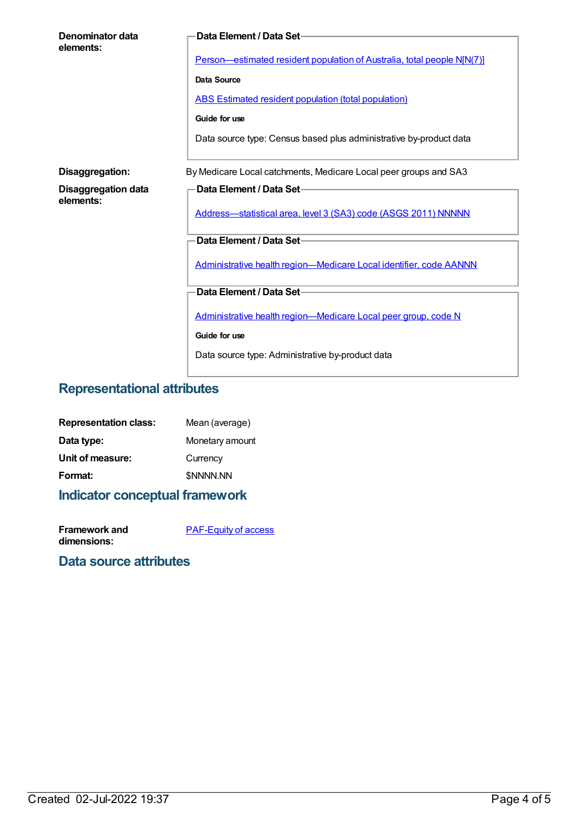| Denominator data<br>elements:    | Data Element / Data Set-                                                |
|----------------------------------|-------------------------------------------------------------------------|
|                                  | Person—estimated resident population of Australia, total people N[N(7)] |
|                                  | Data Source                                                             |
|                                  | <b>ABS Estimated resident population (total population)</b>             |
|                                  | Guide for use                                                           |
|                                  | Data source type: Census based plus administrative by-product data      |
| Disaggregation:                  | By Medicare Local catchments, Medicare Local peer groups and SA3        |
| Disaggregation data<br>elements: | Data Element / Data Set-                                                |
|                                  | Address-statistical area, level 3 (SA3) code (ASGS 2011) NNNNN          |
|                                  | Data Element / Data Set-                                                |
|                                  | Administrative health region-Medicare Local identifier, code AANNN      |
|                                  | Data Element / Data Set-                                                |
|                                  | Administrative health region-Medicare Local peer group, code N          |
|                                  | Guide for use                                                           |
|                                  | Data source type: Administrative by-product data                        |

### **Representational attributes**

| <b>Representation class:</b> | Mean (average)   |
|------------------------------|------------------|
| Data type:                   | Monetary amount  |
| Unit of measure:             | Currency         |
| Format:                      | <b>\$NNNN.NN</b> |
|                              |                  |

## **Indicator conceptual framework**

**Framework and dimensions:**

[PAF-Equity](https://meteor.aihw.gov.au/content/554927) of access

#### **Data source attributes**